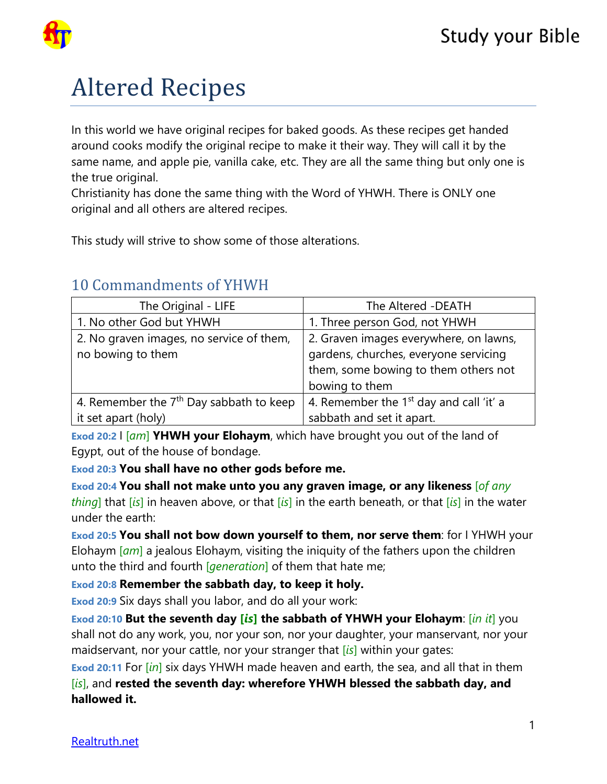

# Altered Recipes

In this world we have original recipes for baked goods. As these recipes get handed around cooks modify the original recipe to make it their way. They will call it by the same name, and apple pie, vanilla cake, etc. They are all the same thing but only one is the true original.

Christianity has done the same thing with the Word of YHWH. There is ONLY one original and all others are altered recipes.

This study will strive to show some of those alterations.

| The Original - LIFE                       | The Altered -DEATH                        |
|-------------------------------------------|-------------------------------------------|
| 1. No other God but YHWH                  | 1. Three person God, not YHWH             |
| 2. No graven images, no service of them,  | 2. Graven images everywhere, on lawns,    |
| no bowing to them                         | gardens, churches, everyone servicing     |
|                                           | them, some bowing to them others not      |
|                                           | bowing to them                            |
| 4. Remember the $7th$ Day sabbath to keep | 4. Remember the $1st$ day and call 'it' a |
| it set apart (holy)                       | sabbath and set it apart.                 |

# 10 Commandments of YHWH

**Exod 20:2** I [*am*] **YHWH your Elohaym**, which have brought you out of the land of Egypt, out of the house of bondage.

**Exod 20:3 You shall have no other gods before me.**

**Exod 20:4 You shall not make unto you any graven image, or any likeness** [*of any thing*] that [*is*] in heaven above, or that [*is*] in the earth beneath, or that [*is*] in the water under the earth:

**Exod 20:5 You shall not bow down yourself to them, nor serve them**: for I YHWH your Elohaym [*am*] a jealous Elohaym, visiting the iniquity of the fathers upon the children unto the third and fourth [*generation*] of them that hate me;

**Exod 20:8 Remember the sabbath day, to keep it holy.**

**Exod 20:9** Six days shall you labor, and do all your work:

**Exod 20:10 But the seventh day [***is***] the sabbath of YHWH your Elohaym**: [*in it*] you shall not do any work, you, nor your son, nor your daughter, your manservant, nor your maidservant, nor your cattle, nor your stranger that [*is*] within your gates:

**Exod 20:11** For [*in*] six days YHWH made heaven and earth, the sea, and all that in them [*is*], and **rested the seventh day: wherefore YHWH blessed the sabbath day, and hallowed it.**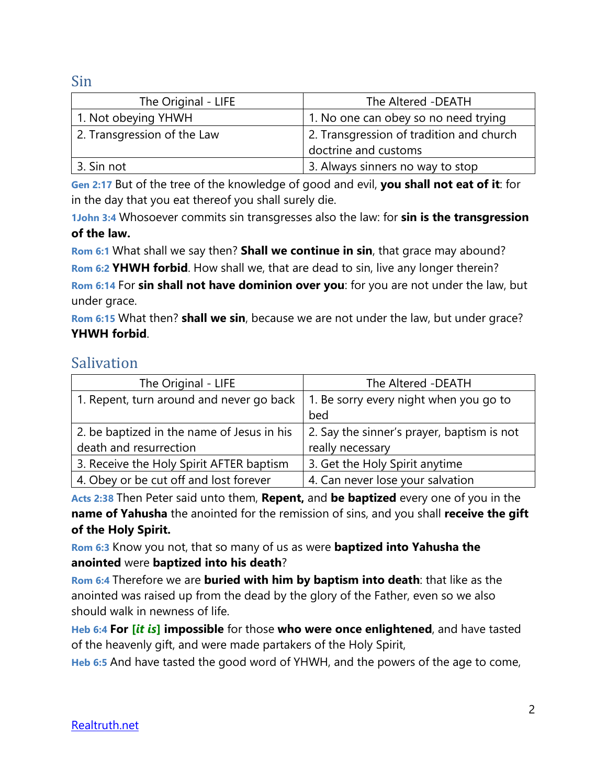Sin

| The Original - LIFE         | The Altered -DEATH                       |
|-----------------------------|------------------------------------------|
| 1. Not obeying YHWH         | 1. No one can obey so no need trying     |
| 2. Transgression of the Law | 2. Transgression of tradition and church |
|                             | doctrine and customs                     |
| 3. Sin not                  | 3. Always sinners no way to stop         |

**Gen 2:17** But of the tree of the knowledge of good and evil, **you shall not eat of it**: for in the day that you eat thereof you shall surely die.

**1John 3:4** Whosoever commits sin transgresses also the law: for **sin is the transgression of the law.**

**Rom 6:1** What shall we say then? **Shall we continue in sin**, that grace may abound? **Rom 6:2 YHWH forbid**. How shall we, that are dead to sin, live any longer therein? **Rom 6:14** For **sin shall not have dominion over you**: for you are not under the law, but under grace.

**Rom 6:15** What then? **shall we sin**, because we are not under the law, but under grace? **YHWH forbid**.

### Salivation

| The Original - LIFE                        | The Altered - DEATH                        |
|--------------------------------------------|--------------------------------------------|
| 1. Repent, turn around and never go back   | 1. Be sorry every night when you go to     |
|                                            | bed                                        |
| 2. be baptized in the name of Jesus in his | 2. Say the sinner's prayer, baptism is not |
| death and resurrection                     | really necessary                           |
| 3. Receive the Holy Spirit AFTER baptism   | 3. Get the Holy Spirit anytime             |
| 4. Obey or be cut off and lost forever     | 4. Can never lose your salvation           |

**Acts 2:38** Then Peter said unto them, **Repent,** and **be baptized** every one of you in the **name of Yahusha** the anointed for the remission of sins, and you shall **receive the gift of the Holy Spirit.**

**Rom 6:3** Know you not, that so many of us as were **baptized into Yahusha the anointed** were **baptized into his death**?

**Rom 6:4** Therefore we are **buried with him by baptism into death**: that like as the anointed was raised up from the dead by the glory of the Father, even so we also should walk in newness of life.

**Heb 6:4 For [***it is***] impossible** for those **who were once enlightened**, and have tasted of the heavenly gift, and were made partakers of the Holy Spirit,

**Heb 6:5** And have tasted the good word of YHWH, and the powers of the age to come,